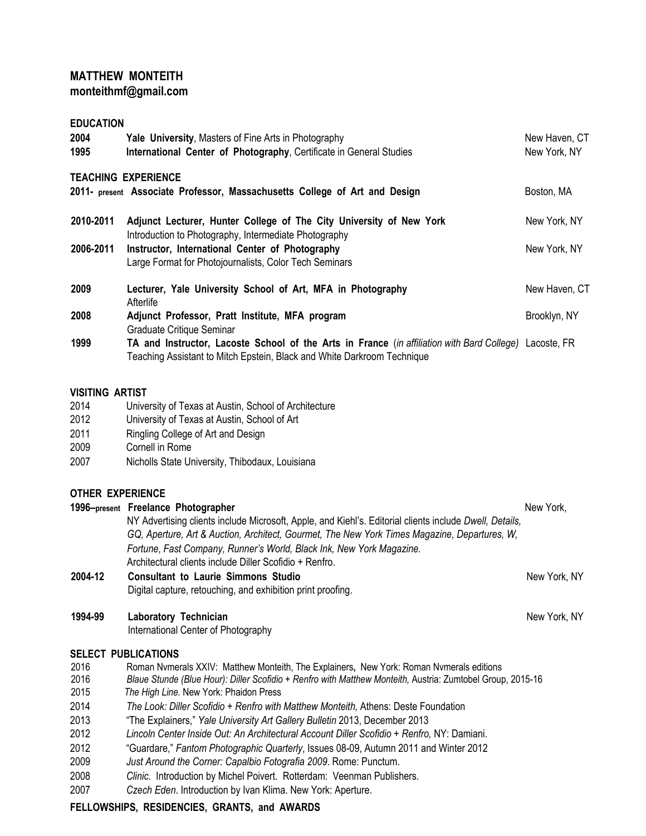# **MATTHEW MONTEITH [monteithmf@gmail.com](mailto:monteithmf@gmail.com)**

**EDUCATION 2004 • Tale University**, Masters of Fine Arts in Photography<br> **1995 • International Center of Photography**, Certificate in General Studies **1995** • New York, NY **International Center of Photography**, Certificate in General Studies **TEACHING EXPERIENCE 2011- present Associate Professor, Massachusetts College of Art and Design Boston, MA 2010-2011 Adjunct Lecturer, Hunter College of The City University of New York** Introduction to Photography, Intermediate Photography New York, NY **2006-2011 Instructor, International Center of Photography New York, NY** New York, NY Large Format for Photojournalists, Color Tech Seminars **2009 Lecturer, Yale University School of Art, MFA in Photography Afterlife** New Haven, CT **2008 Adjunct Professor, Pratt Institute, MFA program** Graduate Critique Seminar Brooklyn, NY **1999 TA and Instructor, Lacoste School of the Arts in France** (*in affiliation with Bard College)* Lacoste, FR Teaching Assistant to Mitch Epstein, Black and White Darkroom Technique

### **VISITING ARTIST**

- 2014 University of Texas at Austin, School of Architecture
- 2012 University of Texas at Austin, School of Art
- 2011 Ringling College of Art and Design
- 2009 Cornell in Rome
- 2007 Nicholls State University, Thibodaux, Louisiana

## **OTHER EXPERIENCE**

|         | 1996–present Freelance Photographer                                                                     | New York,    |
|---------|---------------------------------------------------------------------------------------------------------|--------------|
|         | NY Advertising clients include Microsoft, Apple, and Kiehl's. Editorial clients include Dwell, Details, |              |
|         | GQ, Aperture, Art & Auction, Architect, Gourmet, The New York Times Magazine, Departures, W,            |              |
|         | Fortune, Fast Company, Runner's World, Black Ink, New York Magazine.                                    |              |
|         | Architectural clients include Diller Scofidio + Renfro.                                                 |              |
| 2004-12 | <b>Consultant to Laurie Simmons Studio</b>                                                              | New York, NY |
|         | Digital capture, retouching, and exhibition print proofing.                                             |              |

New York, NY

- **1994-99 Laboratory Technician**
	- International Center of Photography

## **SELECT PUBLICATIONS**

- 2016 Roman Nvmerals XXIV: Matthew Monteith, The Explainers**,** New York: Roman Nvmerals editions
- 2016 *Blaue Stunde (Blue Hour): Diller Scofidio + Renfro with Matthew Monteith,* Austria: Zumtobel Group, 2015-16
- 2015 *The High Line.* New York: Phaidon Press
- 2014 *The Look: Diller Scofidio + Renfro with Matthew Monteith,* Athens: Deste Foundation
- 2013 "The Explainers," *Yale University Art Gallery Bulletin* 2013, December 2013
- 2012 *Lincoln Center Inside Out: An Architectural Account Diller Scofidio + Renfro,* NY: Damiani.
- 2012 "Guardare," *Fantom Photographic Quarterly*, Issues 08-09, Autumn 2011 and Winter 2012
- 2009 *Just Around the Corner: Capalbio Fotografia 2009*. Rome: Punctum.
- 2008 *Clinic.* Introduction by Michel Poivert. Rotterdam: Veenman Publishers.
- 2007 *Czech Eden*. Introduction by Ivan Klima. New York: Aperture.

# **FELLOWSHIPS, RESIDENCIES, GRANTS, and AWARDS**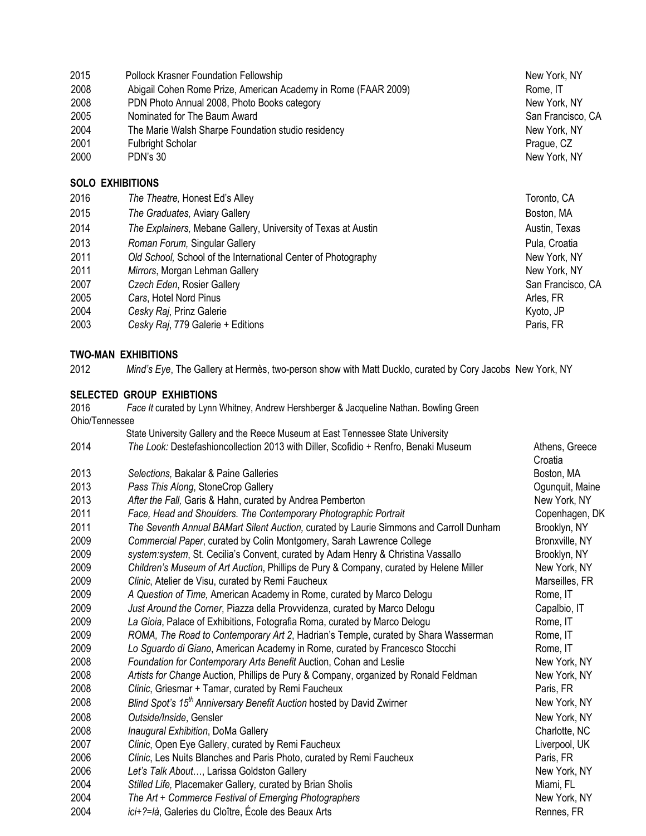| 2015                    | <b>Pollock Krasner Foundation Fellowship</b>                   | New York, NY      |  |
|-------------------------|----------------------------------------------------------------|-------------------|--|
| 2008                    | Abigail Cohen Rome Prize, American Academy in Rome (FAAR 2009) | Rome, IT          |  |
| 2008                    | PDN Photo Annual 2008, Photo Books category                    | New York, NY      |  |
| 2005                    | Nominated for The Baum Award                                   | San Francisco, CA |  |
| 2004                    | The Marie Walsh Sharpe Foundation studio residency             | New York, NY      |  |
| 2001                    | <b>Fulbright Scholar</b>                                       | Prague, CZ        |  |
| 2000                    | PDN's 30                                                       | New York, NY      |  |
| <b>SOLO EXHIBITIONS</b> |                                                                |                   |  |
| 2016                    | The Theatre, Honest Ed's Alley                                 | Toronto, CA       |  |
| 2015                    | The Graduates, Aviary Gallery                                  | Boston, MA        |  |
| 2014                    | The Explainers, Mebane Gallery, University of Texas at Austin  | Austin, Texas     |  |
| 2013                    | Roman Forum, Singular Gallery                                  | Pula, Croatia     |  |
| 2011                    | Old School, School of the International Center of Photography  | New York, NY      |  |
| 2011                    | Mirrors, Morgan Lehman Gallery                                 | New York, NY      |  |
| 2007                    | Czech Eden, Rosier Gallery                                     | San Francisco, CA |  |
| 2005                    | Cars, Hotel Nord Pinus                                         | Arles, FR         |  |
| 2004                    | Cesky Raj, Prinz Galerie                                       | Kyoto, JP         |  |
| 2003                    | Cesky Raj, 779 Galerie + Editions                              | Paris, FR         |  |

## **TWO-MAN EXHIBITIONS**

*Mind's Eye*, The Gallery at Hermès, two-person show with Matt Ducklo, curated by Cory Jacobs New York, NY

### **SELECTED GROUP EXHIBTIONS**

 *Face It* curated by Lynn Whitney, Andrew Hershberger & Jacqueline Nathan. Bowling Green Ohio/Tennessee State University Gallery and the Reece Museum at East Tennessee State University *The Look:* Destefashioncollection 2013 with Diller, Scofidio + Renfro, Benaki Museum Athens, Greece **Croatia Selections, Bakalar & Paine Galleries** Boston, MA **Boston, MA Pass This Along, StoneCrop Gallery Community Community Community Community Community Community Community Community Community Community Community Community Community Community Community Community Community Community C** 2013 After the Fall, Garis & Hahn, curated by Andrea Pemberton **New York, NY**  *Face, Head and Shoulders. The Contemporary Photographic Portrait* Copenhagen, DK *The Seventh Annual BAMart Silent Auction,* curated by Laurie Simmons and Carroll Dunham Brooklyn, NY *Commercial Paper*, curated by Colin Montgomery, Sarah Lawrence College Bronxville, NY *system:system*, St. Cecilia's Convent, curated by Adam Henry & Christina Vassallo Brooklyn, NY *Children's Museum of Art Auction*, Phillips de Pury & Company, curated by Helene Miller New York, NY *Clinic*, Atelier de Visu, curated by Remi Faucheux **Marseilles, FR** Marseilles, FR *A Question of Time,* American Academy in Rome, curated by Marco Delogu Rome, IT *Just Around the Corner*, Piazza della Provvidenza, curated by Marco Delogu Capalbio, IT *La Gioia*, Palace of Exhibitions, Fotografia Roma, curated by Marco Delogu Rome, IT *ROMA, The Road to Contemporary Art 2*, Hadrian's Temple, curated by Shara Wasserman Rome, IT *Lo Sguardo di Giano*, American Academy in Rome, curated by Francesco Stocchi Rome, IT 2008 Foundation for Contemporary Arts Benefit Auction, Cohan and Leslie New York, NY *Artists for Change* Auction, Phillips de Pury & Company, organized by Ronald Feldman New York, NY *Clinic*, Griesmar + Tamar, curated by Remi Faucheux **Paris, FR** Paris, FR *Blind Spot's 15<sup>th</sup> Anniversary Benefit Auction* hosted by David Zwirner New York, NY *Outside/Inside*, Gensler New York, NY *Inaugural Exhibition*, DoMa Gallery **Charlotte, NC** Charlotte, NC *Clinic*, Open Eye Gallery, curated by Remi Faucheux Liverpool, UK *Clinic*, Les Nuits Blanches and Paris Photo, curated by Remi Faucheux Paris, FR **Let's Talk About..., Larissa Goldston Gallery New York, NY** New York, NY *Stilled Life,* Placemaker Gallery*,* curated by Brian Sholis Miami, FL 2004 The Art + Commerce Festival of Emerging Photographers **New York, NY** New York, NY *ici+?=là*, Galeries du Cloître, École des Beaux Arts **Rennes, FR** Rennes, FR